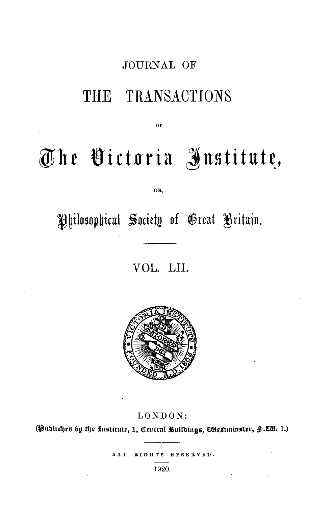## JOURNAL OF

# THE TRANSACTIONS

OF

# **@'ht iitt11ria Jnstitut~,**

OR,

## Philosophical Society of Great Britain.

## VOL. LII.



#### LONDON:

(Published by the *knstitute, 1, Central Buildings, Westminster, §.W*H. 1.)

ALL BIGHTS HESERVED.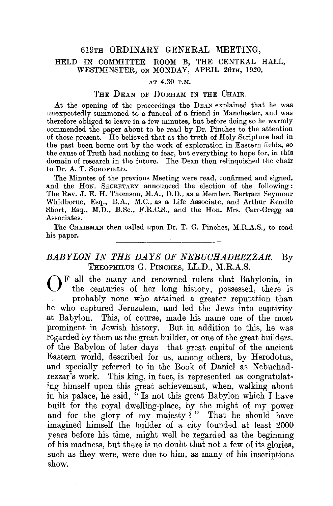#### 619TH ORDINARY GENERAL MEETING,

#### HELD IN COMMITTEE ROOM B, THE CENTRAL HALL, WESTMINSTER, ON MONDAY, APRIL 26TH, 1920,

#### AT 4.30 P.M.

#### THE DEAN OF DURHAM IN THE OHAIR.

At the opening of the proceedings the DEAN explained that he was unexpectedly summoned to a funeral of a friend in Manchester, and was therefore obliged to leave in a few minutes, but before doing so he warmly commended the paper about to be read by Dr. Pinches to the attention of those present. He believed that as the truth of Holy Scripture had in the past been borne out by the work of exploration in Eastern fields, so the cause of Truth had nothing to fear, but everything to hope for, in this domain of research in the future. The Dean then relinquished the chair to Dr. A. T. SCHOFIELD.

The Minutes of the previous Meeting were read, confirmed and signed, and the HoN. SECRETARY announced the election of the following: The Rev. J.E. H. Thomson, M.A., D.D., as a Member, Bertram Seymour Whidborne, Esq., B.A., M.C., as a Life Associate, and Arthur Rendle Short, Esq., M.D., B.Sc., F.R.C.S., and the Hon. Mrs. Carr-Gregg as Associates.

The CHAIRMAN then called upon Dr. T. G. Pinches, M.R.A.S., to read his paper.

#### *BABYLON IN THE DAYS OF NEBUCHADREZZAR.* By THEOPHILUS G. PINCHES, LL.D., M.R.A.S.

 $\bigcap_{k}$  F all the many and renowned rulers that Babylonia, in the centuries of her long history, possessed, there is probably none who attained a greater reputation than he who captured Jerusalem, and led the Jews into captivity at Babylon. This, of course, made his name one of the most prominent in Jewish history. But in addition to this, he was regarded by them as the great builder, or one of the great builders. of the Babylon of later days-that great capital of the ancient Eastern world, described for us, among others, by Herodotus, and specially referred to in the Book of Daniel as Nebuchadrezzar's work. This king, in fact, is represented as congratulating himself upon this great achievement, when, walking about in his palace, he said, " Is not this great Babylon which I have built for the royal dwelling-place, by the might of my power and for the glory of my majesty?" That he should have imagined himself the builder of a city founded at least 2000 years before his time, might well be regarded as the beginning of his madness, but there is no doubt that not a few of its glories, such as they were, were due to him, as many of his inscriptions  $\mathbf{show.}$   $\blacksquare$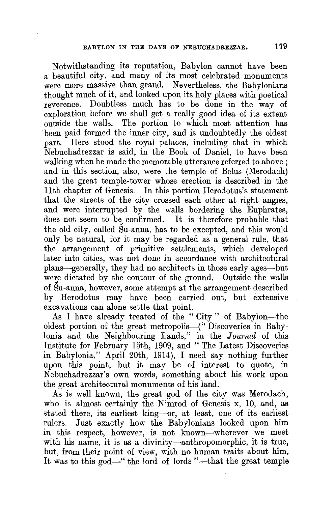Notwithstanding its reputation, Babylon cannot have been a beautiful city, and many of its most celebrated monuments were more massive than grand. Nevertheless, the Babylonians thought much of it, and looked upon its holy places with poetical reverence. Doubtless much has to be done in the way of exploration before we shall get a really good idea of its extent outside the walls. The portion to which most attention has been paid formed the inner city, and is undoubtedly the oldest part. Here stood the royal palaces, including that in which Nebuchadrezzar is said, in the Book of Daniel, to have been walking when he made the memorable utterance referred to above ; and in this section, also, were the temple of Belus (Merodach) and the great temple-tower whose erection is described in the 11th chapter of Genesis. In this portion Herodotus's statement that the streets of the city crossed each other at right angles, and were interrupted by the walls bordering the Euphrates, does not seem to be confirmed. It is therefore probable that the old city, called Su-anna, has to be excepted, and this would only be natural, for it may be regarded as a general rule, that the arrangement of primitive settlements, which developed later into cities, was not done in accordance with architectural plans-generally, they had no architects in those early ages-but were dictated by the contour of the ground. Outside the walls of Su-anna, however, some attempt at the arrangement described by Herodotus may have been carried out, but extensive excavations can alone settle that point.

As I have already treated of the "City" of Babylon-the oldest portion of the great metropolis-(" Discoveries in Babylonia and the Neighbouring Lands," in the *Journal* of this Institute for February 15th, 1909, and "The Latest Discoveries in Babylonia," April 20th, 1914), I need say nothing further upon this point, but it may be of interest to quote, in Nebuchadrezzar's own words, something about his work upon the great architectural monuments of his land.

As is well known, the great god of the city was Merodach, who is almost certainly the Nimrod of Genesis x, 10, and, as stated there, its earliest king-or, at least, one of its earliest rulers. Just exactly how the Babylonians looked upon him in this respect, however, is not known-wherever we meet with his name, it is as a divinity-anthropomorphic, it is true, but, from their point of view, with no human traits about him, It was to this god—" the lord of lords "--- that the great temple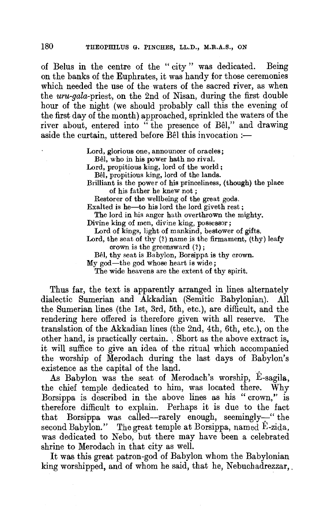of Belus in the centre of the " city " was dedicated. Being on the banks of the Euphrates, it was handy for those ceremonies which needed the use of the waters of the sacred river, as when the *uru-gala-priest,* on the 2nd of Nisan, during the first double hour of the night (we should probably call this the evening of the first day of the month) approached, sprinkled the waters of the river about, entered into " the presence of Bêl," and drawing aside the curtain, uttered before  $\hat{B}$  this invocation :-

> Lord, glorious one, announcer of oracles; Bel, who in his power hath no rival.

Lord, propitious king, lord of the world;

Bel, propitious king, lord of the lands.

Brilliant is the power of his princeliness, (though) the place of his father he knew not ;

Restorer of the wellbeing of the great gods.

Exalted is he-to his lord the lord giveth rest;

The lord in his anger hath overthrown the mighty.

Divine king of men, divine king, possessor;

Lord of kings, light of mankind, bestower **of** gifts.

Lord, the seat of thy  $(?)$  name is the firmament,  $(thy)$  leafy crown is the greensward (?) ;

Bêl, thy seat is Babylon, Borsippa is thy crown.

My god-the god whose heart is wide;

The wide heavens are the extent of thy spirit.

Thus far, the text is apparently arranged in lines alternately dialectic Sumerian and Akkadian (Semitic Babylonian). All the Sumerian lines (the 1st, 3rd, 5th, etc.), are difficult, and the rendering here offered is therefore given with all reserve. The translation of the Akkadian lines (the 2nd, 4th, 6th, etc.), on the other hand, is practically certain .. Short as the above extract is, it will suffice to give an idea of the ritual which accompanied the worship of Merodach during the last days of Babylon's existence as the capital of the land.

As Babylon was the seat of Merodach's worship, E-sagila, the chief temple dedicated to him, was located there.. Why Borsippa is described in the above lines as his "crown," is therefore difficult to explain. Perhaps it is due to the fact that Borsippa was called-rarely enough, seemingly-" the second Babylon." The great temple at Borsippa, named E-zida, was dedicated to Nebo, but there may have been a celebrated shrine to Merodach in that city as well.

It was this great patron-god of Babylon whom the Babylonian king worshipped, and of whom he said, that he, Nebuchadrezzar,.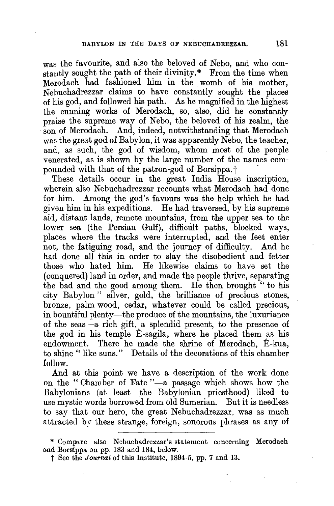was the favourite, and also the beloved of Nebo, and who constautly sought the path of their divinity.\* From the time when Merodach had fashioned him in the womb of his mother, Nebuchadrezzar claims to have constantly sought the places of his god, and followed his path. As he magnified in the highest the cunning works of Merodach, so, also, did he constantly praise the supreme way of Nebo, the beloved of his realm, the son of Merodach. And, indeed, notwithstanding that Merodach was the great god of Babylon, it was apparently Nebo, the teacher, and, as such, the god of wisdom, whom most of the people venerated, as is shown by the large number of the names compounded with that of the patron-god of Borsippa.<sup>†</sup>

These details occur in the great India House inscription, wherein also Nebuchadrezzar recounts what Merodach had done for him. Among the god's favours was the help which he had given him in his expeditions. He had traversed, by his supreme aid, distant lands, remote mountains, from the upper sea to the lower sea (the Persian Gulf), difficult paths, blocked ways, places where the tracks were interrupted, and the feet enter not, the fatiguing road, and the journey of difficulty. And he had done all this in order to slay the disobedient and fetter those who hated him. He likewise claims to have set the (conquered) land in order, and made the people thrive, separating the bad and the good among them. He then brought " to his city Babylon" silver, gold, the brilliance of precious stones, bronze, palm wood, cedar, whatever could be called precious, in bountiful plenty—the produce of the mountains, the luxuriance of the seas-a rich gift, a splendid present, to the presence of the god in his temple E-sagila, where he placed them as his endowment. There he made the shrine of Merodach, E-kua, to shine " like suns." Details of the decorations of this chamber follow.

And at this point we have a description of the work done on the "Chamber of Fate "-a passage which shows how the Babylonians (at least the Babylonian priesthood) liked to use mystic words borrowed from old Sumerian. But it is needless to say that our hero, the great Nebuchadrezzar, was as much attracted by these strange, foreign, sonorous phrases as any of

<sup>\*</sup> Compare also Nebuchadrezzar's statement concerning Merodach and Borsippa on pp. 183 and 184, below.

t See the *Journal* **of** this Institute, 1894-5, pp. 7 and **13.**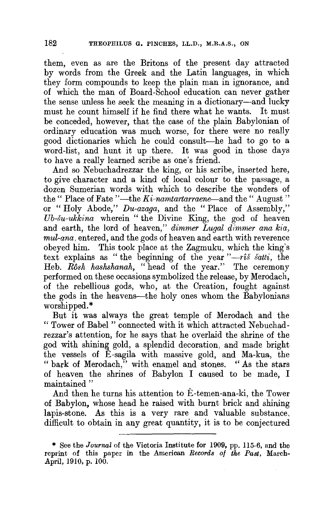them, even as are the Britons of the present day attracted by words from the Greek and the Latin languages, in which they form compounds to keep the plain man in ignorance, and of which the man of Board-School education can never gather the sense unless he seek the meaning in a dictionary-and lucky must he count himself if he find there what he wants. It must be conceded, however, that the case of the plain Babylonian of ordinary education was much worse, for there were no really good dictionaries which he could consult-he had to go to a word-list, and hunt it up there. It was good in those days to have a really learned scribe as one's friend.

And so Nebuchadrezzar the king, or his scribe, inserted here, to give character and a kind of local colour to the passage, a dozen Sumerian words with which to describe the wonders of the " Place of Fate "-the *Ki-namtartarraene*-and the " August " or "Holy Abode," *Du-azaga,* and the "Place of Assembly," *Ub-su-ukkina* wherein " the Divine King, the god of heaven and earth, the lord of heaven," *dimmer Lugal dimmer ana kia, mul-ana,* entered, and the gods of heaven and earth with reverence obeyed him. This took place at the Zagmuku, which the king's text explains as "the beginning of the year *"-ris satti,* the Heb. Rosh hashshanah, "head of the year." The ceremony performed on these occasions symbolized the release, by Merodach, of the rebellious gods, who, at the Creation, fought against the gods in the heavens-the holy ones whom the Babylonians worshipped.\*

But it was always the great temple of Merodach and the " Tower of Babel " connected with it which attracted Nebuchadrezzar's attention, for he says that he overlaid the shrine of the god with shining gold, a splendid decoration, and made bright the vessels of  $\hat{E}$ -sagila with massive gold, and Ma-kua, the "bark of Merodach," with enamel and stones. "As the stars of heaven the shrines of Babylon I caused to be made, I maintained "

And then he turns his attention to E-temen-ana-ki, the Tower of Babylon, whose head he raised with burnt brick and shining lapis-stone. As this is a very rare and valuable substance, difficult to obtain in any great quantity, it is to be conjectured

<sup>\*</sup> See the *Journal* of the Victoria Institute for 1909, pp. 115-6, and the reprint of this paper in the American *Records of the Past*, March-April, 1910, p. 100.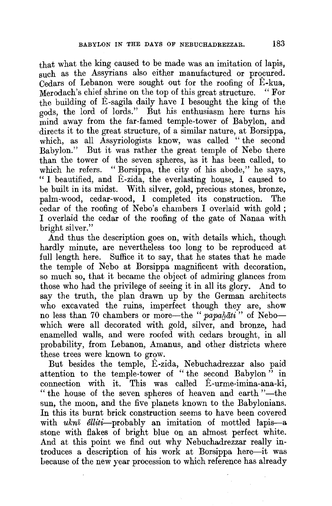that what the king caused to be made was an imitation of lapis, such as the Assyrians also either manufactured or procured. Cedars of Lebanon were sought out for the roofing of E-kua, Merodach's chief shrine on the top of this great structure. "For the building of  $\hat{E}$ -sagila daily have I besought the king of the gods, the lord of lords." But his enthusiasm here turns his mind away from the far-famed temple-tower of Babylon, and directs it to the great structure, of a similar nature, at Borsippa, which, as all Assyriologists know, was called " the second Babylon." But it was rather the great temple of Nebo there than the tower of the seven spheres, as it has been called, to which he refers. "Borsippa, the city of his abode," he says, " I beautified, and E-zida, the everlasting house, I caused to be built in its midst. With silver, gold, precious stones, bronze, palm-wood, cedar-wood, I completed its construction. The cedar of the roofing of Nebo's chambers I overlaid with gold; I overlaid the cedar of the roofing of the gate of Nanaa with bright silver."

And thus the description goes on, with details which, though hardly minute, are nevertheless too long to be reproduced at full length here. Suffice it to say, that he states that he made the temple of Nebo at Borsippa magnificent with decoration, so much so, that it became the object of admiring glances from those who had the privilege of seeing it in all its glory. And to say the truth, the plan drawn up by the German architects who excavated the ruins, imperfect though they are, show no less than 70 chambers or more—the "*papahati*" of Nebowhich were all decorated with gold, silver, and bronze, had enamelled walls, and were roofed with cedars brought, in all probability, from Lebanon, Amanus, and other districts where these trees were known to grow.

But besides the temple, E-zida, Nebuchadrezzar also paid attention to the temple-tower of " the second Babylon" in connection with it. This was called E-urme-imina-ana-ki, " the house of the seven spheres of heaven and earth "-the sun, the moon, and the five planets known to the Babylonians. In this its burnt brick construction seems to have been covered with *ukn*<sup> $\bar{u}$ </sup> elliti-probably an imitation of mottled lapis-a stone with flakes of bright blue on an almost perfect white. And at this point we find out why Nebuchadrezzar really introduces a description of his work at Borsippa here-it was because of the new year procession to which reference has already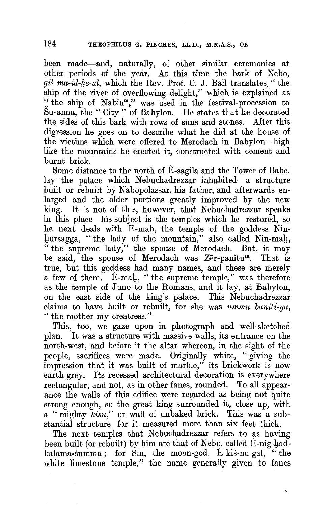been made--and, naturally, of other similar ceremonies at other periods of the year. At this time the bark of Nebo, gis ma-id-he-ul, which the Rev. Prof. C. J. Ball translates. " the ship of the river of overflowing delight," which is explained as <sup>~</sup>the ship of Nabium," was used in the festival-procession to Su-anna, the " City " of Babylon. He states that he decorated the sides of this bark with rows of suns and stones. After this digression he goes on to describe what he did at the house of the victims which were offered to Merodach in Babylon-high like the mountains he erected it, constructed with cement and burnt brick.

Some distance to the north of E-sagila and the Tower of Babel lay the palace which Nebuchadrezzar inhabited-a structure built or rebuilt by Nabopolassar, his father, and afterwards enlarged and the older portions greatly improved by the new king. It is not of this, however, that Nebuchadrezzar speaks in this place--his subject is the temples which he restored, so he next deals with E-mah, the temple of the goddess Ninbursagga, "the lady of the mountain," also called Nin-mah, "the supreme lady," the spouse of Merodach. But, it may be said, the spouse of Merodach was Zer-panitum. That is true, but this goddess had many names, and these are merely a few of them. E-mag, " the supreme temple," was therefore as the temple of Juno to the Romans, and it lay, at Babylon, on the east side of the king's palace. This Nebuchadrezzar claims to have built or rebuilt, for she was *ummu baniti-ya,*  " the mother my creatress."

This, too, we gaze upon in photograph and well-sketched plan. It was a structure with massive walls, its entrance on the north-west, and before it the altar whereon, in the sight of the people, sacrifices were made. Originally white, "giving the impression that it was built of marble," its brickwork is now earth grey. Its recessed architectural decoration is everywhere rectangular, and not, as in other fanes, rounded. To all appearance the walls of this edifice were regarded as being not quite strong enough, so the great king surrounded it, close up, with a "mighty *kisu*," or wall of unbaked brick. This was a substantial structure, for it measured more than six feet thick.

The next temples that Nebuchadrezzar refers to as having been built (or rebuilt) by him are that of Nebo, called  $\hat{E}$ -nig-hadkalama-šumma; for Sin, the moon-god,  $\hat{E}$  kiš-nu-gal, "the white limestone temple," the name generally given to fanes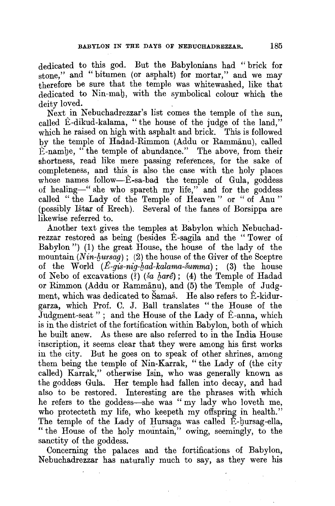dedicated to this god. But the Babylonians had " brick for stone," and "bitumen (or asphalt) for mortar," and we may therefore be sure that the temple was whitewashed, like that dedicated to Nin-mah, with the symbolical colour which the deity loved.

Next in Nebuchadrezzar's list comes the temple of the sun, called E-dikud-kalama, "the house of the judge of the land," which he raised on high with asphalt and brick. This is followed by the temple of Hadad-Rimmon (Addu or Rammanu), called E-namge, "the temple of abundance." The above, from their shortness, read like mere passing references, for the sake of completeness, and this is also the case with the holy places whose names follow-E-sa-bad the temple of Gula, goddess of healing-" she who spareth my life," and for the goddess called "the Lady of the Temple of Heaven" or "of Anu" (possibly Istar of Erech). Several of the fanes of Borsippa are likewise referred to.

Another text gives the temples at Babylon which Nebuchadrezzar restored as being (besides E-sagila and the " Tower of Babylon") (1) the great House, the house of the lady of the mountain  $(Nin-hursaq)$ ; (2) the house of the Giver of the Sceptre of the World  $(E-gis-nig-had-kalama-5umma)$ ; (3) the house of Nebo of excavations (?) (ša harê); (4) the Temple of Hadad or Rimmon (Addu or Rammanu), and (5) the Temple of Judgment, which was dedicated to Samas. He also refers to E-kidurgarza, which Prof. C. J. Ball translates "the House of the Judgment-seat"; and the House of the Lady of Ê-anna, which is in the district of the fortification within Babylon, both of which he built anew. As these are also referred to in the India House inscription, it seems clear that they were among his first works in the city. But he goes on to speak of other shrines, among them being the temple of Nin-Karrak, "the Lady of (the city called) Karrak," otherwise Isin, who was generally known as the goddess Gula. Her temple had fallen into decay, and had also to be restored. Interesting are the phrases with which he refers to the goddess-she was "my lady who loveth me, who protecteth my life, who keepeth my offspring in health." The temple of the Lady of Hursaga was called E-hursag-ella, "the House of the holy mountain," owing, seemingly, to the sanctity of the goddess.

Concerning the palaces and the fortifications of Babylon, Nebuchadrezzar has naturally much to say, as they were his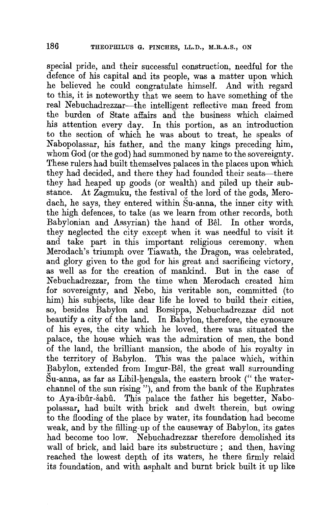special pride, and their successful construction, needful for the defence of his capital and its people, was a matter upon which he believed he could congratulate himself. And with regard to this, it is noteworthy that we seem to have something of the real Nebuchadrezzar-the intelligent reflective man freed from the burden of State affairs and the business which claimed his attention every day. In this portion, as an introduction to the section of which he was about to treat, he speaks of Nabopolassar, his father, and the many kings preceding him, whom God (or the god) had summoned by name to the sovereignty. These rulers had built themselves palaces in the places upon which they had decided, and there they had founded their seats—there they had heaped up goods (or wealth) and piled up their substance. At Zagmuku, the festival of the lord of the gods, Merodach, he says, they entered within Su-anna, the inner city with the high defences, to take (as we learn from other records, both Babylonian and Assyrian) the hand of Bel. In other words, they neglected the city except when it was needful to visit it and take part in this important religious ceremony, when Merodach's triumph over Tiawath, the Dragon, was celebrated, and glory given to the god for his great and sacrificing victory, as well as for the creation of mankind. But in the case of Nebuchadrezzar, from the time when Merodach created him for sovereignty, and Nebo, his veritable son, committed (to him) his subjects, like dear life he loved to build their cities, so, besides Babylon and Borsippa, Nebuchadrezzar did not beautify a city of the land. In Babylon, therefore, the cynosure of his eyes, the city which he loved, there was situated the palace, the house which was the admiration of men, the bond of the land, the brilliant mansion, the abode of his royalty in the territory of Babylon. This was the palace which, within Babylon, extended from Imgur-Bel, the great wall surrounding Su-anna, as far as Libil-bengala, the eastern brook (" the waterchannel of the sun rising"), and from the bank of the Euphrates to Aya-ibûr-šabû. This palace the father his begetter, Nabopolassar, had built with brick and dwelt therein, but owing to the flooding of the place by water, its foundation had become weak, and by the filling-up of the causeway of Babylon, its gates had become too low. Nebuchadrezzar therefore demolished its wall of brick, and laid bare its substructure ; and then, having reached the lowest depth of its waters, he there firmly relaid its foundation, and with asphalt and burnt brick built it up like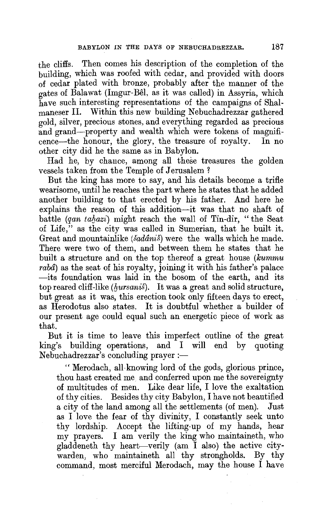the cliffs. Then comes his description of the completion of the building, which was roofed with cedar, and provided with doors of cedar plated with bronze, probably after the manner of the gates of Balawat (Imgur-Bel, as it was called) in Assyria, which have such interesting representations of the campaigns of Shalmaneser II. Within this new building Nebuchadrezzar gathered gold, silver, precious stones., and everything regarded as precious and grand-property and wealth which were tokens of magnificence-the honour, the glory, the treasure of royalty. In no other city did he the same as in Babylon.

Had he, by chance, among all these treasures the golden vessels taken from the Temple of Jerusalem ?

But the king has more to say, and his details become a trifle wearisome, until he reaches the part where he states that he added another building to that erected by his father. And here he explains the reason of this addition-it was that no shaft of battle *(qan tahazi)* might reach the wall of Tin-dir, "the Seat of Life," as the city was called in Sumerian, that he built it. Great and mountainlike *(sadanis')* were the walls which he made. There were two of them, and between them he states that he built a structure and on the top thereof a great house *(kummu raba)* as the seat of his royalty, joining it with his father's palace -its foundation was laid in the bosom of the earth, and its top reared cliff-like *(hursanis)*. It was a great and solid structure, but great as it was, this erection took only fifteen days to erect, as Herodotus also states. It is doubtful whether a builder of our present age could equal such an energetic piece of work as that.

But it is time to leave this imperfect outline of the great king's building operations, and I will end by quoting Nebuchadrezzar's concluding prayer:-

" Merodach, all-knowing lord of the gods, glorious prince, thou hast created me. and conferred upon me the sovereignty of multitudes of men. Like dear life, I love the exaltation of thy cities. Besides thy city Babylon, I have not beautified a city of the land among all the settlements (of men). Just as I love the fear of thy divinity, I constantly seek unto thy lordship. Accept the lifting-up of my hands, hear my prayers. I am verily the king who maintaineth, who gladdeneth thy heart-verily (am I also) the active citywarden, who maintaineth all thy strongholds. By thy command, most merciful Merodach, may the house I have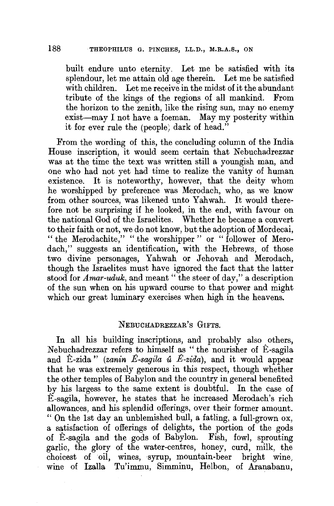built endure unto eternity. Let me be satisfied with its splendour, let me attain old age therein. Let me be satisfied with children. Let me receive in the midst of it the abundant<br>tribute of the kings of the regions of all mankind. From tribute of the kings of the regions of all mankind. the horizon to the zenith, like the rising sun, may no enemy exist-may I not have a foeman. May my posterity within it for ever rule the (people; dark of head."

From the wording of this, the concluding column of the India House inscription, it would seem certain that Nebuchadrezzar was at the time the text was written still a youngish man, and one who had not yet had time to realize the vanity of human existence. It is noteworthy, however, that the deity whom he worshipped by preference was Merodach, who, as we know from other sources, was likened unto Yahwah. It would therefore not be surprising if he looked, in the end, with favour on the national God of the Israelites. Whether he became a convert to their faith or not, we do not know, but the adoption of Mordecai, " the Merodachite," " the worshipper " or "follower of Merodach," suggests an identification, with the Hebrews, of those two divine personages, Yahwah or Jehovah and Merodach, though the Israelites must have ignored the fact that the latter stood for *Amar-uduk*, and meant "the steer of day," a description of the sun when on his upward course to that power and might which our great luminary exercises when high in the heavens.

#### NEBUCHADREZZAR's GIFTS.

In all his building inscriptions, and probably also others, Nebuchadrezzar refers to himself as "the nourisher of E-sagila and Ê-zida" (*zanin Ê-sagila û Ê-zida*), and it would appear that he was extremely generous in this respect, though whether the other temples of Babylon and the country in general benefited by his largess to the same extent is doubtful. In the case of E-sagila, however, he states that he increased Merodach's rich allowances, and his splendid offerings, over their former amount. "On the 1st day an unblemished bull, a fatling, a full-grown ox, a satisfaction of offerings of delights, the portion of the gods of E-sagila and the gods of Babylon. Fish, fowl, sprouting garlic, the glory of the water-centres, honey, curd, milk, the choicest of oil, wines, syrup, mountain-beer bright wine, wine of Izalla Tu'immu, Simminu, Helbon, of Aranabanu,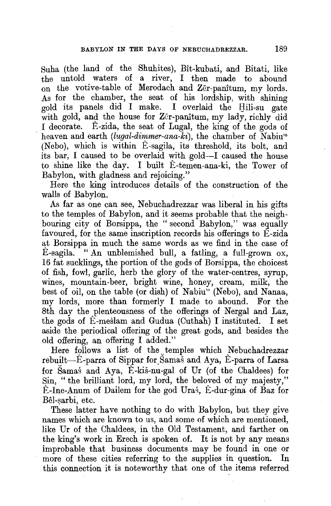Suha (the land of the Shuhites), Bit-kubati, and Bitati, like the untold waters of a river, I then made to abound on the votive-table of Merodach and Zer-panitum, my lords. As for the chamber, the seat of his lordship, with shining gold its panels did I make. I overlaid the Hili-su gate with gold, and the house for  $Zeir$ -panitum, my lady, richly did I decorate. E-zida, the seat of Lugal, the king of the gods of heaven and earth *(lugal-dimmer-ana-ki)*, the chamber of Nabium (Nebo), which is within E-sagila, its threshold, its bolt, and its bar, I caused to be overlaid with gold-I caused the house to shine like the day. I built E-temen-ana-ki, the Tower of Babylon, with gladness and rejoicing."

Here the king introduces details of the construction of the walls of Babylon.

As far as one can see, Nebuchadrezzar was liberal in his gifts to the temples of Babylon, and it seems probable that the neighbouring city of Borsippa, the "second Babylon," was equally favoured, for the same inscription records his offerings to E-zida at Borsippa in much the same words as we find in the case of  $\hat{E}$ -sagila. "An unblemished bull, a fatling, a full-grown ox, 16 fat sucklings, the portion of the gods of Borsippa, the choicest of fish, fowl, garlic, herb the glory of the water-centres, syrup, wines, mountain-beer, bright wine, honey, cream, milk, the best of oil, on the table (or dish) of Nabiu"' (Nebo), and Nanaa, my lords, more than formerly I made to abound. For the 8th day the plenteousness of the offerings of Nergal and Laz, the gods of E-meslam and Gudua (Cuthah) I instituted. I set aside the periodical offering of the great gods, and besides the old offering, an offering I added."

Here follows a list of the temples which Nebuchadrezzar rebuilt-E-parra of Sippar for Samas and Aya, E-parra of Larsa for Samas and Aya, E-kis-nu-gal of Ur (of the Chaldees) for Sin, "the brilliant lord, my lord, the beloved of my majesty," E-Ine-Anum of Dailem for the god Uras, E-dur-gina of Baz for Bêl-sarbi, etc.

These latter have nothing to do with Babylon, but they give names which are known to us, and some of which are mentioned, like Ur of the Chaldees, in the Old Testament, and farther on the king's work in Erech is spoken of. It is not by any means improbable that business documents may be found in one or more of these cities referring to the supplies in question. In this connection it is noteworthy that one of the items referred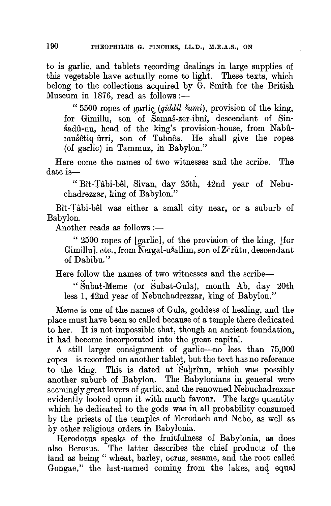to is garlic, and tablets recording dealings in large supplies of this vegetable have actually come to light. These texts, which belong to the collections acquired by G. Smith for the British Museum in 1876, read as follows :-

" 5500 ropes of garlic (giddil šumi), provision of the king, for Gimillu, son of Samas-zer-ibni, descendant of Sinsadu-nu, head of the king's provision-house, from Nabumusetiq-urri, son of Tabnea. He shall give the ropes (of garlic) in Tammuz, in Babylon."

Here come the names of two witnesses and the scribe. The date is—

" Bît-Tâbi-bêl, Sivan, day 25th, 42nd year of Nebuchadrezzar, king of Babylon."

Bit-Tabi-bel was either a small city near, or a suburb of Babylon.

Another reads as follows  $:=$ 

" 2500 ropes of [garlic], of the provision of the king, [for Gimillu], etc., from Nergal-ušallim, son of Zerûtu, descendant of Dabibu."

Here follow the names of two witnesses and the scribe-

" Subat-Meme (or Subat-Gula), month Ab, day 20th less 1, 42nd year of Nebuchadrezzar, king of Babylon."

Meme is one of the names of Gula, goddess of healing, and the place must have been so called because of a temple there dedicated to her. It is not impossible that, though an ancient foundation, it had become incorporated into the great capital.

A still larger consignment of garlic-no less than 75,000 ropes-is recorded on another tablet, but the text has no reference to the king. This is dated at Sagrinu, which was possibly another suburb of Babylon. The Babylonians in general were seemingly great lovers of garlic, and the renowned Nebuchadrezzar evidently looked upon it with much favour. The large quantity which he dedicated to the gods was in all probability consumed by the priests of the temples of Merodach and Nebo, as well as by other religious orders in Babylonia.

Herodotus speaks of the fruitfulness of Babylonia, as does also Berosus. The latter describes the chief products of the land as being "wheat, barley, ocrus, sesame, and the root called Gongae," the last-named coming from the lakes, and equal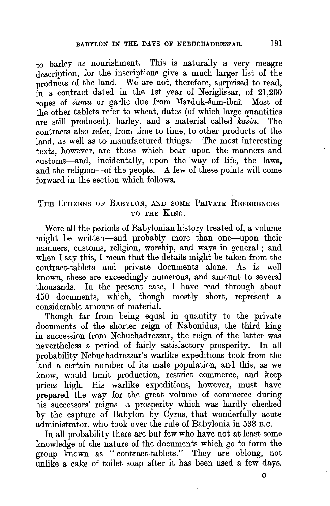to barley as nourishment. This is naturally a very meagre description, for the inscriptions give a much larger list of the products of the land. We are not, therefore, surprised to read, in a contract dated in the 1st year of Neriglissar, of 21.200 ropes of *sumu* or garlic due from Marduk-sum-ibni. Most of the other tablets refer to wheat, dates (of which large quantities are still produced), barley, and a material called *kasia.* The contracts also refer, from time to time, to other products of the land, as well as to manufactured things. The most interesting texts, however, are those which bear upon the manners and customs-and, incidentally, upon the way of life, the laws, and the religion-of the people. A few of these points will come forward in the section which follows.

#### THE CITIZENS OF BABYLON, AND SOME PRIVATE REFERENCES TO THE KING.

Were all the periods of Babylonian history treated of, a volume might be written-and probably more than one-upon their manners, customs, religion, worship, and ways in general; and when I say this, I mean that the details might be taken from the contract-tablets and private documents alone. As is well known, these are exceedingly numerous, and amount to several thousands. In the present case, I have read through about 450 documents, which, though mostly short, represent a considerable amount of material.

Though far from being equal in quantity to the private documents of the shorter reign of Nabonidus, the third king in succession from Nebuchadrezzar, the reign of the latter was nevertheless a period of fairly satisfactory prosperity. In all probability Nebuchadrezzar's warlike expeditions took from the land a certain number of its male population, and this, as we know, would limit production, restrict commerce, and keep prices high. His warlike expeditions, however, must have prepared the way for the great volume of commerce during his successors' reigns-a prosperity which was hardly checked by the capture of Babylon by Cyrus, that wonderfully acute administrator, who took over the rule of Babylonia in 538 B.c.

In all probability there are but few who have not at least some knowledge of the nature of the documents which go to form the group known as "contract-tablets." They are oblong, not unlike a cake of toilet soap after it has been used a few days.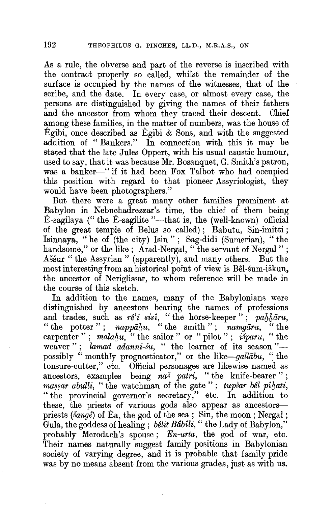As a rule, the obverse and part of the reverse is inscribed with the contract properly so called, whilst the remainder of the surface is occupied by the names of the witnesses, that of the scribe, and the date. In every case, or almost every case, the persons are distinguished by giving the names of their fathers and the ancestor from whom they traced their descent. Chief among these families, in the matter of numbers, was the house of Egibi, once described as Egibi  $\&$  Sons, and with the suggested addition of "Bankers." In connection with this it may be stated that the late Jules Oppert, with his usual caustic humour, used to say, that it was because Mr. Bosanquet, G. Smith's patron, was a banker-" if it had been Fox Talbot who had occupied this position with regard to that pioneer Assyriologist, they would have been photographers."

But there were a great many other families prominent at Babylon in Nebuchadrezzar's time, the chief of them being  $\hat{E}$ -sagilaya (" the  $\hat{E}$ -sagilite "---that is, the (well-known) official of the great temple of Belus so called); Babutu, Sin-imitti; Isinnaya, "he of (the city) Isin" ; Sag-didi (Sumerian), "the handsome," or the like; Arad-Nergal, "the servant of Nergal"; Assur " the Assyrian " (apparently), and many others. But the most interesting from an historical point of view is Bel-sum-iskun, the ancestor of Neriglissar, to whom reference will be made in the course of this sketch.

In addition to the names, many of the Babylonians were distinguished by ancestors bearing the names of professions and trades, such as  $r e^{i} i$  sisi, "the horse-keeper"; *pallatu*, "the notter": *nannahu*, "the smith": *namaāru*, "the " the potter";  $napp\bar{a}l_iu$ , " the smith";  $namp\bar{a}ru$ , carpenter"; malahu, " the sailor" or " pilot"; *isparu*, " the weaver"; *lamad adanni-su*, " the learner of its season"possibly "monthly prognosticator," or the *like-gallabu,* "the tonsure-cutter," etc. Official personages are likewise named as ancestors, examples being *naš patri*, "the knife-bearer"; *massar abulli,* " the watchman of the gate "; *tupsar bel pihati*, "the provincial governor's secretary," etc. In addition to these, the priests of various gods also appear as ancestorspriests (šange) of Ea, the god of the sea; Sin, the moon; Nergal; Gula, the goddess of healing; *belit Babili,* "the Lady of Babylon," probably Merodach's spouse; *En-urta,* the god of war, etc. Their names naturally suggest family positions in Babylonian society of varying degree, and it is probable that family pride was by no means absent from the various grades, just as with us.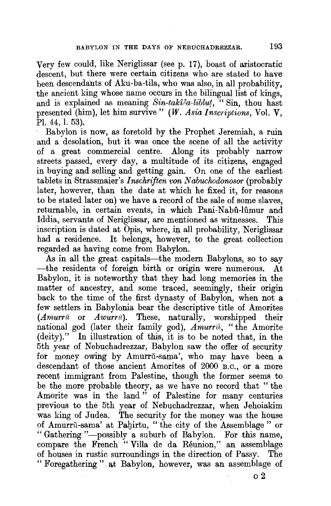Very few could, like Neriglissar (see p. 17), boast of aristocratic descent, but there were certain citizens who are stated to have been descendants of Aku-ba-tila, who was also, in all probability, the ancient king whose name occurs in the bilingual list of kings, and is explained as meaning *Sin-taki<sup>ka</sup>-liblut*, "Sin, thou hast presented (him), let him survive" *(W. Asia Inscriptions,* Vol. **V,**  Pl. 44, 1. 53).

Babylon is now, as foretold by the Prophet Jeremiah, a ruin and a desolation, but it was once the scene of all the activity of a great commercial centre. Along its probably narrow streets passed, every day, a multitude of its citizens, engaged in buying and selling and getting gain. On one of the earliest tablets in Strassmaier's *lnschriften von Nabuchodonosor* (probably later, however, than the date at which he fixed it, for reasons to be stated later on) we have **a** record of the sale of some slaves, returnable, in certain events, in which Pani-Nabû-lûmur and Iddia, servants of Neriglissar, are mentioned as witnesses. This inscription is dated at Opis, where, in all probability, Neriglissar had **a** residence. It belongs, however, to the great collection regarded as having come from Babylon.

As in all the great capitals-the modern Babylons, so to say -the residents of foreign birth or origin were numerous. At Babylon, it is noteworthy that they had long memories in the matter of ancestry, and some traced, seemingly, their origin back to the time of the first dynasty of Babylon, when not a few settlers in Babylonia bear the descriptive title of Amorites *(Amurrū* or *Awurrū*). These, naturally, worshipped their national god (later their family god), *Amurru,* "the Amorite (deity)." In illustration of this, it is to be noted that, in the 5th year of Nebuchadrezzar, Babylon saw the offer of security for money owing by Amurrū-sama', who may have been a descendant of those ancient Amorites of 2000 B.c., or a more recent immigrant from Palestine, though the former seems to be the more probable theory, as we have no record that " the Amorite was in the land " of Palestine for many centuries previous to the 5th year of Nebuchadrezzar, when Jehoiakim was king of Judea. The security for the money was the house of Amurru-sama' at Pabirtu, "the city of the Assemblage" or "Gathering "-possibly a suburb of Babylon. For this name, compare the French "Villa de da Reunion," an assemblage of houses in rustic surroundings in the direction of Passy. The " Foregathering " at Babylon, however, was an assemblage of

o2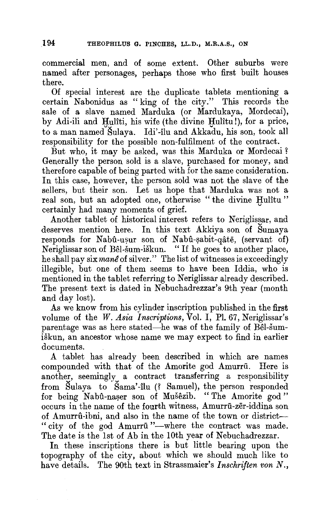commercial men, and of some extent. Other suburbs were named after personages, perhaps those who first built houses there.

Of special interest are the duplicate tablets mentioning a certain Nabonidus as "king of the city." This records the sale of a slave named Marduka (or Mardukaya, Mordecai), by Adi-ili and Hulîti, his wife (the divine Hulîtu!), for a price, to a man named Sulaya. Idi' -ilu and Akkadu, his son, took all responsibility for the possible non-fulfilment of the contract.

But who, it may be asked, was this Marduka or Mordecai? Generally the person sold is a slave, purchased for money, and therefore capable of being parted with for the same consideration. In this case, however, the person sold was not the slave of the sellers, but their son. Let us hope that Marduka was not a real son, but an adopted one, otherwise "the divine Hulitu" certainly had many moments of grief.

Another tablet of historical interest refers to Neriglissar, and deserves mention here. In this text Akkiya son of Sumaya responds for Nabû-usur son of Nabû-şabit-qâtē, (servant of) Neriglissar son of Bel-sum-iskun. "If he goes to another place, he shall pay six *mane* of silver." The list of witnesses is exceedingly illegible, but one of them seems to have been Iddia, who is mentioned in the tablet referring to Neriglissar already described. The present text is dated in Nebuchadrezzar's 9th year (month and day lost).

As we know from his cylinder inscription published in the first volume of the *W. Asia Inscriptions,* Vol. I, Pl. 67, Neriglissar's parentage was as here stated—he was of the family of Bel-sumiskun, an ancestor whose name we may expect to find in earlier documents.

A tablet has already been described in which are names compounded with that of the Amorite god Amurru. Here is another, seemingly a contract transferring a responsibility from Sulaya to Sama'-ilu (? Samuel), the person responded for being Nabû-naser son of Mušêzib. "The Amorite god" occurs in the name of the fourth witness, Amurru-zer-iddina son of Amurrû-ibni, and also in the name of the town or district---"city of the god Amurrū"-where the contract was made. The date is the 1st of Ab in the 10th year of Nebuchadrezzar.

In these inscriptions there is but little bearing upon the topography of the city, about which we should much like to have details. The 90th text in Strassmaier's *Inschriften von N.,*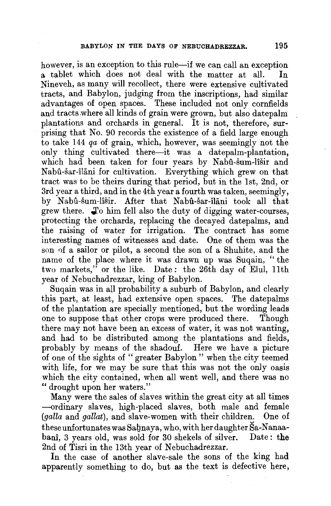however, is an exception to this rule—if we can call an exception<br>a tablet which does not deal with the matter at all. In a tablet which does not deal with the matter at all. Nineveh, as many will recollect, there were extensive cultivated tracts, and Babylon, judging from the inscriptions, had similar advantages of open spaces. These included not only cornfields and tracts .where all kinds of grain were grown, but also datepalm plantations and orchards in general. It is not, therefore, surprising that No. 90 records the existence of a field large enough to take 144 *qa* of grain, which, however, was seemingly not the only thing cultivated there-it was a datepalm-plantation, which had been taken for four years by Nabu-sum-lisir and Nabû-šar-îlāni for cultivation. Everything which grew on that tract was to be theirs during that period, but in the 1st, 2nd, or 3rd year a third, and in the 4th year a fourth was taken, seemingly, by Nabû-šum-lîšir. After that Nabû-šar-îlāni took all that grew there. **Jo** him fell also the duty of digging water-courses, protecting the orchards, replacing the decayed datepalms, and the raising of water for irrigation. The contract has some interesting names of witnesses and date. One of them was the son of a sailor or pilot, a second the son of a Shuhite, and the name of the place where it was drawn up was Suqain, "the two markets," or the like. Date: the 26th day of Elul, llth year of Nebuchadrezzar, king of Babylon.

Suqain was in all probability a suburb of Babylon, and clearly this part, at least, had extensive open spaces. The datepalms of the plantation are specially mentioned, but the wording leads one to suppose that other crops were produced there. Though there may not have been an excess of water, it was not wanting, and had to be distributed among the plantations and fields, probably by means of the shadouf. Here we have a picture of one of the sights of " greater Babylon " when the city teemed with life, for we may be sure that this was not the only oasis which the city contained, when all went well, and there was no "drought upon her waters."

Many were the sales of slaves within the great city at all times -ordinary slaves, high-placed slaves, both male and female *(galla* and *gallat),* and slave-women with their children. One of these unfortunates was Saynaya, who, with her daughter Sa-Nanaabani, 3 years old, was sold for 30 shekels of silver. Date: the 2nd of Tisri in the 13th year of Nebuchadrezzar.

In the case of another slave-sale the sons of the king had apparently something to do, but as the text is defective here,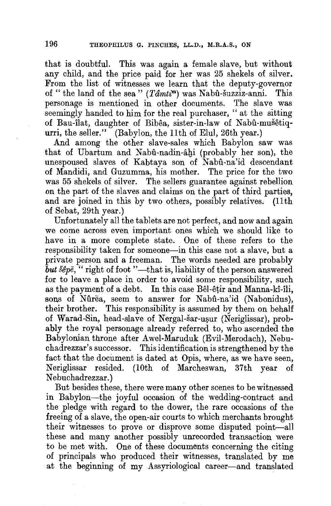that is doubtful. This was again a female slave, but without any child, and the price paid for her was 25 shekels of silver. From the list of witnesses we learn that the deputy-governor of "the land of the sea" *(Tâmti*") was Nabû-šuzziz-anni. This personage is mentioned in other documents. The slave was seemingly handed to him for the real purchaser, "at the sitting of Bau-ilat, daughter of Bibêa, sister-in-law of Nabû-mušêtiqurri, the seller.'' (Babylon, the llth of Elul, 26th year.)

And among the other slave-sales which Babylon saw was that of Ubartum and Nabû-nadin-âhi (probably her son), the unespoused slaves of Kabtaya son of Nabû-na'id descendant of Mandidi, and Guzumma, his mother. The price for the two was 55 shekels of silver. The sellers guarantee against rebellion on the part of the slaves and claims on the part of third parties, and are joined in this by two others, possibly relatives. (11th of Sebat, 29th year.)

Unfortunately all the tablets are not perfect, and now and again we come across even important ones which we should like to have in a more complete state. One of these refers to the responsibility taken for someone-in this case not a slave, but a private person and a freeman. The words needed are probably but  $\delta$ epe, "right of foot"—that is, liability of the person answered for to leave a place in order to avoid some responsibility, such as the payment of a debt. In this case Bel-etir and Manna-ki-ili, sons of Nûrea, seem to answer for Nabû-na'id (Nabonidus), their brother. This responsibility is assumed by them on behalf of Warad-Sin, head-slave of Nergal-šar-ușur (Neriglissar), probably the royal personage already referred to, who ascended the Babylonian throne after Awel-Maruduk (Evil-Merodach), Nebuchadrezzar's successor. This identification is strengthened by the fact that the document is dated at Opis, where, as we have seen, Neriglissar resided. (10th of Marcheswan, 37th year of Nebuchadrezzar.)

But besides these, there were many other scenes to be witnessed in Babylon-the joyful occasion of the wedding-contract and the pledge with regard to the dower, the rare occasions of the freeing of a slave, the open-air courts to which merchants brought their witnesses to prove or disprove some disputed point-all these and many another possibly unrecorded transaction were to be met with. One of these documents concerning the citing of principals who produced their witnesses, translated by me at the beginning of my Assyriological career-and translated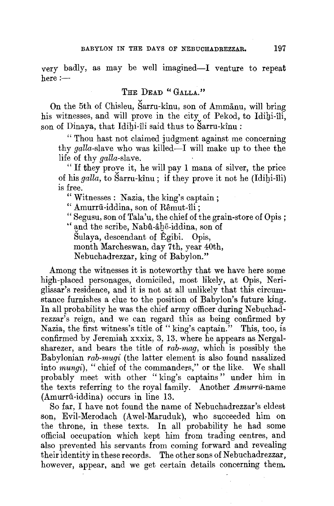very badly, as may be well imagined-I venture to repeat  $here :=$ 

#### **THE DEAD "GALLA."**

On the 5th of Chisleu, Sarru-kinu, son of Ammanu, will bring his witnesses, and will prove in the city of Pekod, to Idihi-îli, son of Dinaya, that Idibi-ili said thus to Sarru-kinu :

"Thou hast not claimed judgment against me concerning thy galla-slave who was killed—I will make up to thee the life of thy *galla*-slave.

"If they prove it, he will pay 1 mana of silver, the price of his *galla,* to Sarru-kinu ; if they prove it not he (Idibi-ili) is free.

"Witnesses: Nazia, the king's captain;

" Amurrū-iddina, son of Rêmut-îli;

" Segusu, son of Tala'u, the chief of the grain-store of Opis ;

" and the scribe, Nabû-âhē-iddina, son of

Sulaya, descendant of Egibi. Opis,

month Marcheswan, day 7th, year 40th,

Nebuchadrezzar, king of Babylon."

Among the witnesses it is noteworthy that we have here some high-placed personages, domiciled, most likely, at Opis, Neriglissar's residence, and it is not at all unlikely that this circumstance furnishes a clue to the position of Babylon's future king. In all probability he was the chief army officer during Nebuchadrezzar's reign, and we can regard this as being confirmed by Nazia, the first witness's title of "king's captain." This, too, is confirmed by Jeremiah xxxix, 3, 13, where he appears as Nergalsharezer, and bears the title of *rab-mag,* which is possibly the Babylonian *rab-mugi* (the latter element is also found nasalized into *mungi),* " chief of the commanders," or the like. We shall probably meet with other "king's captains" under him **in**  the texts referring to the royal family. Another *Amurru-name*  (Amurru-iddina) occurs in line 13.

So far, I have not found the name of Nebuchadrezzar's eldest son, Evil-Merodach (Awel-Maruduk), who succeeded him **on**  the throne, in these texts. In all probability he had some official occupation which kept him from trading centres, and also prevented his servants from coming forward and revealing their identity in these records. The other sons of Nebuchadrezzar, however, appear, and we get certain details concerning them.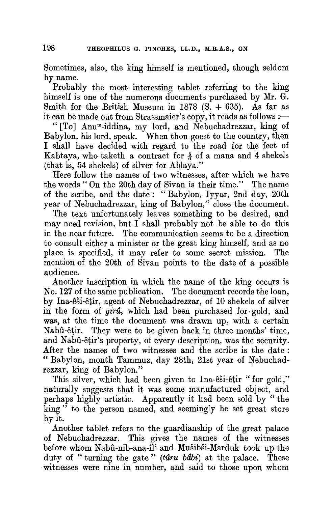Sometimes, also, the king himself is mentioned, though seldom by name.

Probably the most interesting tablet referring to the king himself is one of the numerous documents purchased by Mr. G. Smith for the British Museum in  $1878$  (S.  $+635$ ). As far as it can be made out from Strassmaier's copy, it reads as follows :-

" [To] Anum-iddina, my lord, and Nebuchadrezzar, king of Babylon, his lord, speak. When thou goest to the country, then I shall have decided with regard to the road for the feet of Kabtaya, who taketh a contract for  $\frac{5}{6}$  of a mana and 4 shekels (that is, 54 shekels) of silver for Ablaya."

Here follow the names of two witnesses, after which we have the words" On the 20th day of Sivan is their time." The name of the scribe, and the date: "Babylon, Iyyar, 2nd day, 20th year of Nebuchadrezzar, king of Babylon," close the document.

The text unfortunately leaves something to be desired, and may need revision, but I shall probably not be able to do this in the near future. The communication seems to be a direction to consult either a minister or the great king himself, and as no place is specified, it may refer to some secret mission. The mention of the 20th of Sivan points to the date of a possible audience.

Another inscription in which the name of the king occurs is No. 127 of the same publication. The document records the loan, by Ina-esi-etir, agent of Nebuchadrezzar, of 10 shekels of silver in the form of *gira*, which had been purchased for gold, and was, at the time the document was drawn up, with a certain Nabû-êtir. They were to be given back in three months' time, and Nabû-êtir's property, of every description, was the security. After the names of two witnesses and the scribe is the date : "Babylon, month Tammuz, day 28th, 21st year of Nebuchadrezzar, king of Babylon."

This silver, which had been given to Ina-êši-êțir "for gold," naturally suggests that it was some manufactured object, and perhaps highly artistic. Apparently it had been sold by " the king " to the person named, and seemingly he set great store by it.

Another tablet refers to the guardianship of the great palace of Nebuchadrezzar. This gives the names of the witnesses before whom Nabû-nib-ana-îli and Mušibši-Marduk took up the duty of " turning the gate" (taru babi) at the palace. These witnesses were nine in number, and said to those upon whom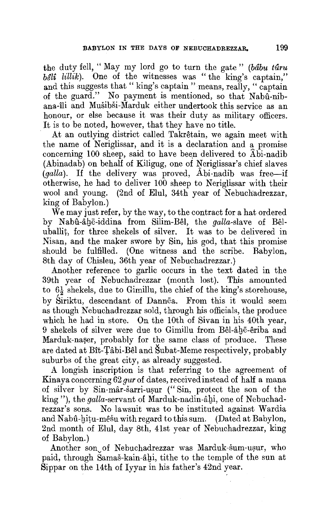the duty fell, "May my lord go to turn the gate" (bâbu tûru *beli lillik*). One of the witnesses was "the king's captain," and this suggests that "king's captain " means, really, " captain of the guard." No payment is mentioned, so that Nabu-nibana-ili and Musibsi-Marduk either undertook this service as an honour, or else because it was their duty as military officers. It is to be noted, however, that they have no title.

At an outlying district called Takrêtain, we again meet with the name of Neriglissar, and it is a declaration and a promise concerning 100 sheep, said to have been delivered to  $\widehat{A}$  bi-nadib  $(A$ binadab) on behalf of Kiligug, one of Neriglissar's chief slaves (*galla*). If the delivery was proved, Abi-nadib was free-if otherwise, he had to deliver 100 sheep to Neriglissar with their wool and young. (2nd of Elul, 34th year of Nebuchadrezzar, king of Babylon.)

We may just refer, by the way, to the contract for a hat ordered by Nabû-âhe-iddina from Silim-Bêl, the *galla*-slave of Bêluballit, for three shekels of silver. It was to be delivered in Nisan, and the maker swore by Sin, his god, that this promise should be fulfilled. (One witness and the scribe. Babylon, 8th day of Chisleu, 36th year of Nebuchadrezzar.)

Another reference to garlic occurs in the text dated in the 39th year of Nebuchadrezzar (month lost). This amounted to  $6\frac{1}{2}$  shekels, due to Gimillu, the chief of the king's storehouse, by Siriktu, descendant of Dannea. From this it would seem as though Nebuchadrezzar sold, through his officials, the produce which he had in store. On the 10th of Sivan in his 40th year, 9 shekels of silver were due to Gimillu from Bêl-âhē-êriba and Marduk-naser, probably for the same class of produce. These are dated at Bît-Tâbi-Bêl and Šubat-Meme respectively, probably suburbs of the great city, as already suggested.

A longish inscription is that referring to the agreement of Kinaya concerning  $62$  gur of dates, received instead of half a mana of silver by Sin-mar-sarri-usur ("Sin, protect the son of the king"), the galla-servant of Marduk-nadin-âbi, one of Nebuchadrezzar's sons. No lawsuit was to be instituted against Wardia and Nabû-hitu-mêsu with regard to this sum. (Dated at Babylon, 2nd month of Elul, day 8th, 41st year of Nebuchadrezzar, king of Babylon.)

Another son of Nebuchadrezzar was Marduk-sum-usur, who paid, through Samas-kain-agi, tithe to the temple of the sun at Sippar on the 14th of Iyyar in his father's 42nd year.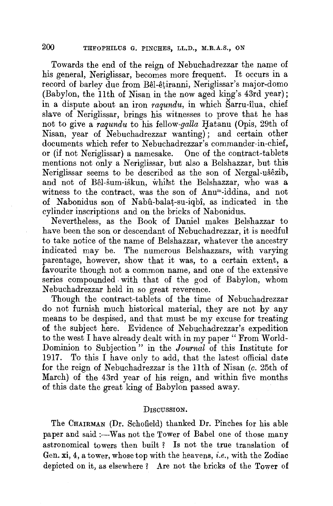Towards the end of the reign of Nebuchadrezzar the name of his general, Neriglissar, becomes more frequent. It occurs in a record of barley due from Bel-etiranni, Neriglissar's major-domo (Babylon, the 11th of Nisan in the now aged king's 43rd year); **in** a dispute about an iron *raqundu,* **in** which Sarru-ilua, chief slave of Neriglissar, brings his witnesses to prove that he has not to give a *raqundu* to his fellow-*galla* Hatanu (Opis, 29th of Nisan, year of Nebuchadrezzar wanting); and certain other documents which refer to Nebuchadrezzar's commander-in-chief, or (if not Neriglissar) a namesake. One of the contract-tablets mentions not only a Neriglissar, but also a Belshazzar, but this Neriglissar seems to be described as the son of Nergal-usezib, and not of Bel-sum-iskun, whitst the Belshazzar, who was a witness to the contract, was the son of Anum-iddina, and not of Nabonidus son of Nabu-balat-su-iqbi, as indicated in the cylinder inscriptions and on the bricks of Nabonidus.

Nevertheless, as the Book of Daniel makes Belshazzar to have been the son or descendant of Nebuchadrezzar, it is needful to take notice of the name of Belshazzar, whatever the ancestry indicated may be. The numerous Belshazzars, with varying parentage, however, show that it was, to a certain extent, a favourite though not a common name, and one of the extensive series compounded with that of the god of Babylon, whom Nebuchadrezzar held in so great reverence.

Though the contract-tablets of the time of Nebuchadrezzar do not furnish much historical material, they are not by any means to be despised, and that must be my excuse for treating of the subject here. Evidence of Nebuchadrezzar's expedition to the west I have already dealt with in my paper "From World-Dominion to Subjection" in the *Journal* of this Institute for 1917. To this I have only to add, that the latest official date for the reign of Nebuchadrezzar is the llth of Nisan (c. 25th of March) of the 43rd year of his reign, and within five months of this date the great king of Babylon passed away.

#### DISCUSSION.

The CHAIRMAN (Dr. Schofield) thanked Dr. Pinches for his able paper and said :--Was not the Tower of Babel one of those many astronomical towers then built ? Is not the true translation of Gen. xi, 4, a tower, whose top with the heavens, *i.e.,* with the Zodiac depicted on it, as elsewhere ? Are not the bricks of the Tower of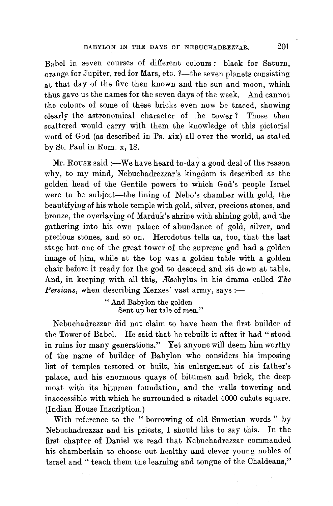Babel in seven courses of different colours : black for Saturn, orange for Jupiter, red for Mars, etc. ?- the seven planets consisting at that day of the five then known and the sun and moon, which thus gave us the names for the seven days of the week. And cannot the colours of some of these bricks even now be traced, showing clearly the astronomical character of the tower? Those then scattered would carry with them the knowledge of this pictorial word of God (as described in Ps. xix) all over the world, as stated by St. Paul in Rom. x, 18.

Mr. Rouse said :- We have heard to-day a good deal of the reason why, to my mind, Nebuchadrezzar's kingdom is described as the golden head of the Gentile powers to which God's people Israel were to be subject-the lining of Nebo's chamber with gold, the beautifying of his whole temple with gold, silver, precious stones, and bronze, the overlaying of Marduk's shrine with shining gold, and the gathering into his own palace of abundance of gold, silver, and precious stones, and so on. Herodotus tells us, too, that the last stage but one of the great tower of the supreme god had a golden image of him, while at the top was a golden table with a golden chair before it ready for the god to descend and sit down at table. And, in keeping with all this, Æschylus in his drama called *The Persians, when describing Xerxes' vast army, says :-*

> " And Babylon the golden Sent up her tale of men."

Nebuchadrezzar did not claim to have been the first builder of the Tower of Babel. He said that he rebuilt it after it had "stood in ruins for many generations." Yet anyone will deem him worthy of the name of builder of Babylon who considers his imposing list of temples restored or built, his enlargement of his father's palace, and his enormous quays of bitumen and brick, the deep moat with its bitumen foundation, and the walls towering and inaccessible with which he surrounded a citadel 4000 cubits square. (Indian House Inscription.)

With reference to the " borrowing of old Sumerian words " by Nebuchadrezzar and his priests, I should like to say this. In the first chapter of Daniel we read that Nebuchadrezzar commanded his chamberlain to choose out healthy and clever young nobles of Israel and" teach them the learning and tongue of the Chaldeans,"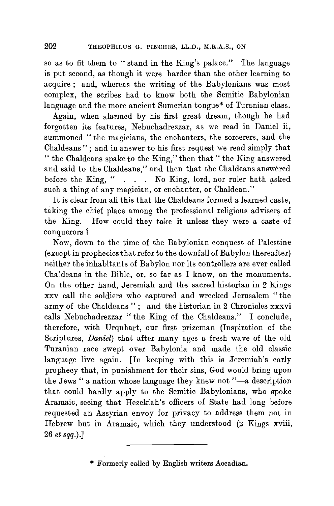so as to fit them to " stand in the King's palace." The language is put second, as though it were harder than the other learning to acquire; and, whereas the writing of the Babylonians was most complex, the scribes had to know both the Semitic Babylonian language and the more ancient Sumerian tongue\* of Turanian class.

Again, when alarmed by his first great dream, though he had forgotten its features, Nebuchadrezzar, as we read in Daniel ii, summoned " the magicians, the enchanters, the sorcerers, and the Chaldeans"; and in answer to his first request we read simply that "the Chaldeans spake to the King," then that" the King answered and said to the Chaldeans," and then that the Chaldeans answered before the King, " . . . No King, lord, nor ruler hath asked such a thing of any magician, or enchanter, or Chaldean."

It is clear from all this that the Chaldeans formed a learned caste, taking the chief place among the professional religious advisers of the King. How could they take it unless they were a caste of conquerors ?

Now, down to the time of the Babylonian conquest of Palestine (except in prophecies that refer to the downfall of Babylon thereafter) neither the inhabitants of Babylon nor its controllers are ever called Cha'deans in the Bible, or, so far as I know, on the monuments. On the other hand, Jeremiah and the sacred historian in 2 Kings xxv call the soldiers who captured and wrecked Jerusalem "the army of the Chaldeans"; and the historian in 2 Chronicles xxxvi calls Nebuchadrezzar "the King of the Chaldeans." I conclude, therefore, with Urquhart, our first prizeman (Inspiration of the Scriptures, *Daniel)* that after many ages a fresh wave of the old Turanian race swept over Babylonia and made the old classic language live again. [In keeping with this is Jeremiah's early prophecy that, in punishment for their sins, God would bring upon the Jews " a nation whose language they knew not "-- a description that could hardly apply to the Semitic Babylonians, who spoke Aramaic, seeing that Hezekiah's officers of State had long before requested an Assyrian envoy for privacy to address them not in Hebrew but in Aramaic, which they understood (2 Kings xviii, 26 *et sqq.).]* 

\* Formerly called by English writers Accadian.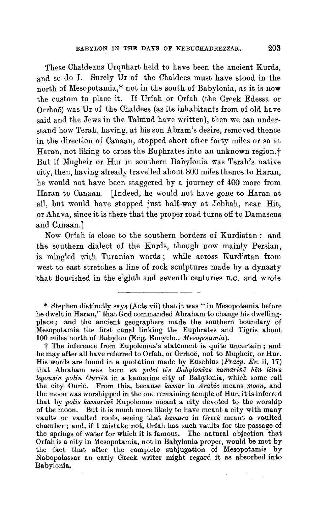These Chaldeans Urquhart held to have been the ancient Kurds, and so do I. Surely Ur of the Chaldees must have stood in the north of Mesopotamia,\* not in the south of Babylonia, as it is now the custom to place it. If Urfah or Orfah (the Greek Edessa or Orrhoe) was Ur of the Chaldees (as its inhabitants from of old have said and the Jews in the Talmud have written), then we can understand how Terah, having, at his son Abram's desire, removed thence in the direction of Canaan, stopped short after forty miles or so at Haran, not liking to cross the Euphrates into an unknown region. t But if Mugheir or Hur in southern Babylonia was Terah's native city, then, having already travelled about 800 miles thence to Haran, he would not have been staggered by a journey of 400 more from Haran to Canaan. [Indeed, he would not have gone to Haran at all, but would have stopped just half-way at Jebbah, near Hit, or Ahava, since it is there that the proper road turns off to Damascus and Canaan.]

Now Orfah is close to the southern borders of Kurdistan : and the southern dialect of the Kurds, though now mainly Persian, is mingled with Turanian words ; while across Kurdistan from west to east stretches a line of rock sculptures made by a dynasty that flourished in the eighth and seventh centuries B.c. and wrote

t The inference from Eupolemus's statement is quite uncertain ; and he may after all have referred to Orfah, or Orrhoe, not to Mugheir, or Hur. His words are found in a quotation made by Eusebius *(Praep. Ev.* ii, 17) that Abraham was born *en polei tes Babylonias kamarine hen tines legousin polin Ourien* in a kamarine city of Babylonia, which some call the city Ourie. From this, because *kamar* in *Arabic* means *moon,* and the moon was worshipped in the one remaining temple of Hur, it is inferred that by *polis kamarine* Eupolemus meant a city devoted to the worship of the moon. But it is much more likely to have meant a city with many vaults or vaulted roofs, seeing that *kamara* in *Greek* meant a vaulted chamber; and, if I mistake not, Orfah has such vaults for the passage of the springs of water for which it is famous. The natural objection that Orfahis a city in Mesopotamia, not in Babylonia proper, would be met by the fact that after the complete subjugation of Mesopotamia by Nabopolassar an early Greek writer might regard it as absorbed into Babylonia.

<sup>\*</sup> Stephen distinctly says (Acts vii) that it was "in Mesopotamia before he dwelt in Haran," that God commanded Abraham to change his dwellingplace ; and the ancient geographers made the southern boundary of Mesopotamia the first canal linking the Euphrates and Tigris about 100 miles north of Babylon (Eng. Encyclo., *Mesopotamia).*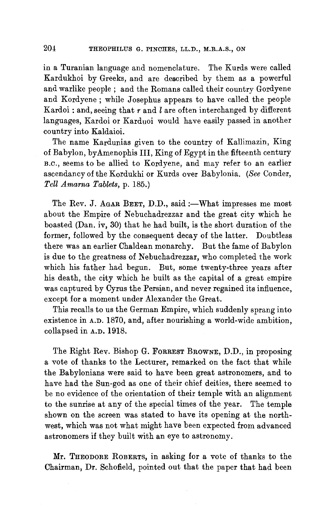in a Turanian language and nomenclature. The Kurds were called Kardukhoi by Greeks, and are described by them as a powerful and warlike people ; and the Romans called their country Gordyene and Kordyene; while Josephus appears to have called the people Kardoi : and, seeing that *r* and l are often interchanged by different languages, Kardoi or Karduoi would have easily passed in another country into Kaldaioi.

The name Kardunias given to the country of Kallimazin, King of Babylon, byAmenophis III, King of Egypt in the fifteenth century B.c., seems to be allied to Kordyene, and may refer to an earlier ascendancy of the Kordukhi or Kurds over Babylonia. *(See* Conder, *Tell Amarna Tablets,* p. 185.)

The Rev. J. AGAR BEET, D.D., said :- What impresses me most about the Empire of Nebuchadrezzar and the great city which he boasted (Dan. iv, 30) that he had built, is the short duration of the former, followed by the consequent decay of the latter. Doubtless there was an earlier Chaldean monarchy. But the fame of Babylon is due to the greatness of Nebuchadrezzar, who completed the work which his father had begun. But, some twenty-three years after his death, the city which he built as the capital of a great empire was captured by Cyrus the Persian, and never regained its influence, except for a moment under Alexander the Great.

This recalls to us the German Empire, which suddenly sprang into existence in A.D. 1870, and, after nourishing a world-wide ambition, collapsed in A.D. 1918.

The Right Rev. Bishop G. FORREST BROWNE, **D.D.,** in proposing a vote of thanks to the Lecturer, remarked on the fact that while the Babylonians were said to have been great astronomers, and to have had the Sun-god as one of their chief deities, there seemed to be no evidence of the orientation of their temple with an alignment to the sunrise at any of the special times of the year. The temple shown on the screen was stated to have its opening at the northwest, which was not what might have been expected from advanced astronomers if they built with an eye to astronomy.

**Mr.** THEODORE ROBERTS, in asking for a vote of thanks to the Chairman, Dr. Schofield, pointed out that the paper that had been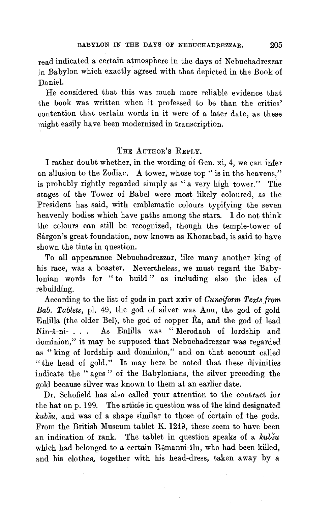read indicated a certain atmosphere in the days of Nebuchadrezzar in Babylon which exactly agreed with that depicted in the Book of Daniel.

He considered that this was much more reliable evidence that the book was written when it professed to be than the critics' contention that certain words in it were of a later date, as these might easily have been modernized in transcription.

#### 'l'HE AUTHOR'S REPLY.

I rather doubt whether, in the wording of Gen. xi, 4, we can infer an allusion to the Zodiac. A tower, whose top " is in the heavens," is probably rightly regarded simply as "a very high tower." The stages of the Tower of Babel were most likely coloured, as the President has said, with emblematic colours typifying the seven heavenly bodies which have paths among the stars. I do not think the colours can still be recognized, though the temple-tower of Sargon's great foundation, now known as Khorsabad, is said to have shown the tints in question.

To all appearance Nebuchadrezzar, like many another king of his race, was a boaster. Nevertheless, we must regard the Babylonian words for " to build " as including also the idea of rebuilding.

According to the list of gods in part xxiv of *Cuneiform Texts from Bab. Tablets,* pl. 49, the god of silver was Anu, the god of gold Enlilla (the older Bel), the god of copper Ea, and the god of lead Nin-a-ni.- . . . As Enlilla was " Merodach of lordship and dominion," it may be supposed that Nebuchadrezzar was regarded as "king of lordship and dominion," and on that account called "the head of gold." It may here be noted that these divinities indicate the " ages " of the Babylonians, the silver preceding the gold because silver was known to them at an earlier date.

Dr. Schofield has also called your attention to the contract for the hat on p. 199. The article in question was of the kind designated *kubsu,* and was of a shape similar to those of certain of the gods. From the British Museum tablet K. 1249, these seem to have been an indication of rank. The tablet in question speaks of a *kubsu*  which had belonged to a certain Remanni-ilu, who had been killed, and his clothes, together with his head-dress, taken away by a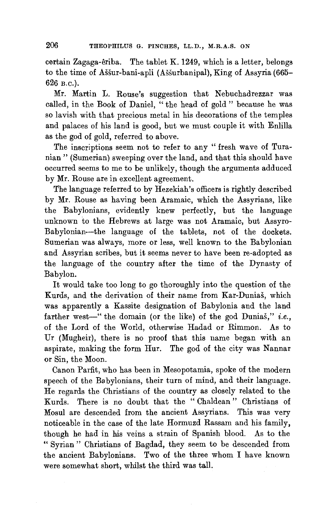certain Zagaga-eriba. The tablet K. 1249, which is a letter, belongs to the time of Assur-bani-apli (Assurbanipal), King of Assyria (665- 626 B.c.).

Mr. Martin L. Rouse's suggestion that Nebuchadrezzar was called, in the Book of Daniel, " the head of gold " because he was so lavish with that precious metal in his decorations of the temples and palaces of his land is good, but we must couple it with Enlilla as the god of gold, referred to above.

The inscriptions seem not to refer to any "fresh wave of Turanian" (Sumerian) sweeping over the land, and that this should have occurred seems to me to be unlikely, though the arguments adduced by Mr. Rouse are in excellent agreement.

The language referred to by Hezekiah's officers is rightly described by Mr. Rouse as having been Aramaic, which the Assyrians, like the Babylonians, evidently knew perfectly, but the language unknown to the Hebrews at large was not Aramaic, but Assyro-Babylonian-the language of the tablets, not of the dockets. Sumerian was always, more or less, well known to the Babylonian and Assyrian scribes, but it seems never to have been re-adopted as the language of the country after the time of the Dynasty of Babylon.

It would take too long to go thoroughly into the question of the Kurds, and the derivation of their name from Kar-Dunias, which was apparently a Kassite designation of Babylonia and the land farther west-" the domain (or the like) of the god Dunias," *i.e.*, of the Lord of the World, otherwise Hadad or Rimmon. As to Ur (Mugheir), there is no proof that this name began with an aspirate, making the form Hur. The god of the city was Nannar or Sin, the Moon.

Canon Parfit, who has been in Mesopotamia, spoke of the modern speech of the Babylonians, their turn of mind, and their language. He regards the Christians of the country as closely related to the Kurds. There is no doubt that the " Chaldean " Christians of Mosul are descended from the ancient Assyrians. This was very noticeable in the case of the late Hormuzd Rassam and his family, though he had in his veins a strain of Spanish blood. As to the " Syrian " Christians of Bagdad, they seem to be descended from the ancient Babylonians. Two of the three whom I have known were somewhat short, whilst the third was tall.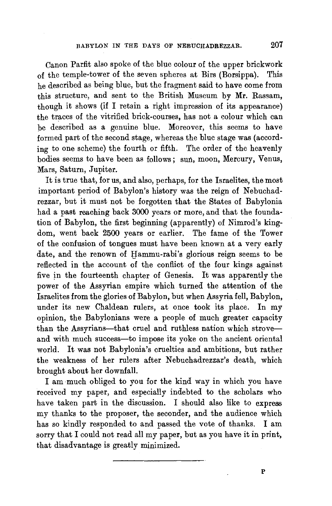Canon Parfit also spoke of the blue colour of the upper brickwork of the temple-tower of the seven spheres at Birs (Borsippa). This he described as being blue, but the fragment said to have come from this structure, and sent to the British Museum by **Mr.** Rassam, though it shows (if I retain a right impression of its appearance) the traces of the vitrified brick-courses, has not a colour which can be described as a genuine blue. Moreover, this seems to have formed part of the second stage, whereas the blue stage was (according to one scheme) the fourth or fifth. The order of the heavenly bodies seems to have been as follows; sun, moon, Mercury, Venus, Mars, Saturn, Jupiter.

It is true that, for us, and also, perhaps, for the Israelites, the most important period of Babylon's history was the reign of Nebuchadrezzar, but it must not be forgotten that the States of Babylonia had a past reaching back 3000 years or more, and that the foundation of Babylon, the first beginning (apparently) of Nimrod's kingdom, went back 2500 years or earlier. The fame of the Tower of the confusion of tongues must have been known at a very early date, and the renown of Hammu-rabi's glorious reign seems to be reflected in the account of the conflict of the four kings against five in the fourteenth chapter of Genesis. It was apparently the power of the Assyrian empire which turned the attention of the Israelites from the glories of Babylon, but when Assyria fell, Babylon, under its new Chaldean rulers, at once took its place. In my opinion, the Babylonians were a people of much greater capacity than the Assyrians-that cruel and ruthless nation which stroveand with much success-to impose its yoke on the ancient oriental world. It was not Babylonia's cruelties and ambitions, but rather the weakness of her rulers after Nebuchadrezzar's death, which brought about her downfall.

I am much obliged to you for the kind way in which you have received my paper, and especially indebted to the scholars who have taken part in the discussion. I should also like to express my thanks to the proposer, the seconder, and the audience which has so kindly responded to and passed the vote of thanks. I am sorry that I could not read all my paper, but as you have it in print, that disadvantage is greatly minimized.

p